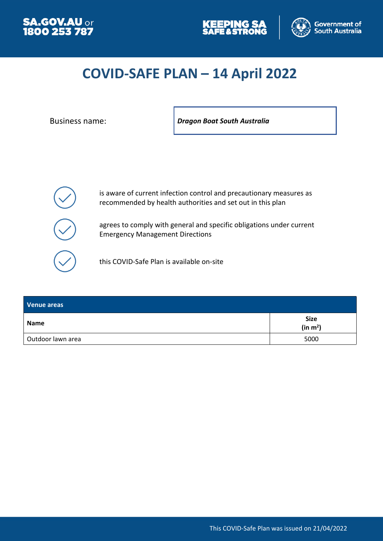





# **COVID-SAFE PLAN – 14 April 2022**

Business name: *Dragon Boat South Australia*



is aware of current infection control and precautionary measures as recommended by health authorities and set out in this plan

agrees to comply with general and specific obligations under current Emergency Management Directions

this COVID-Safe Plan is available on-site

| Venue areas       |                                     |
|-------------------|-------------------------------------|
| Name              | <b>Size</b><br>(in m <sup>2</sup> ) |
| Outdoor lawn area | 5000                                |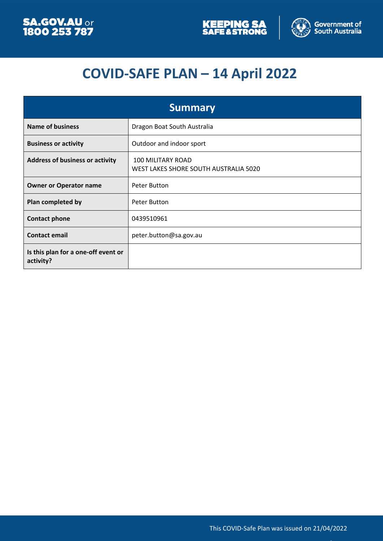



# **COVID-SAFE PLAN – 14 April 2022**

| <b>Summary</b>                                   |                                                                   |
|--------------------------------------------------|-------------------------------------------------------------------|
| <b>Name of business</b>                          | Dragon Boat South Australia                                       |
| <b>Business or activity</b>                      | Outdoor and indoor sport                                          |
| <b>Address of business or activity</b>           | <b>100 MILITARY ROAD</b><br>WEST LAKES SHORE SOUTH AUSTRALIA 5020 |
| <b>Owner or Operator name</b>                    | Peter Button                                                      |
| Plan completed by                                | Peter Button                                                      |
| <b>Contact phone</b>                             | 0439510961                                                        |
| <b>Contact email</b>                             | peter.button@sa.gov.au                                            |
| Is this plan for a one-off event or<br>activity? |                                                                   |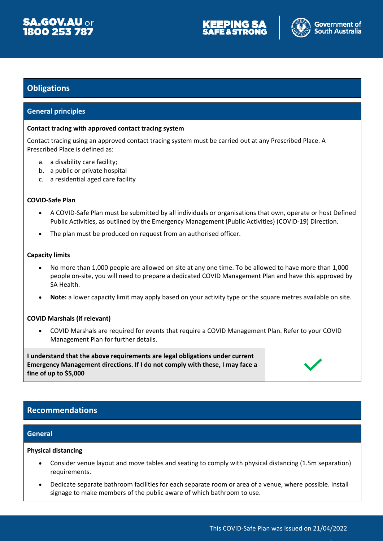





## **Obligations**

#### **General principles**

#### **Contact tracing with approved contact tracing system**

Contact tracing using an approved contact tracing system must be carried out at any Prescribed Place. A Prescribed Place is defined as:

- a. a disability care facility;
- b. a public or private hospital
- c. a residential aged care facility

#### **COVID-Safe Plan**

- A COVID-Safe Plan must be submitted by all individuals or organisations that own, operate or host Defined Public Activities, as outlined by the Emergency Management (Public Activities) (COVID-19) Direction.
- The plan must be produced on request from an authorised officer.

#### **Capacity limits**

- No more than 1,000 people are allowed on site at any one time. To be allowed to have more than 1,000 people on-site, you will need to prepare a dedicated COVID Management Plan and have this approved by SA Health.
- **Note:** a lower capacity limit may apply based on your activity type or the square metres available on site.

#### **COVID Marshals (if relevant)**

 COVID Marshals are required for events that require a COVID Management Plan. Refer to your COVID Management Plan for further details.

**I understand that the above requirements are legal obligations under current Emergency Management directions. If I do not comply with these, I may face a fine of up to \$5,000**



### **Recommendations**

#### **General**

#### **Physical distancing**

- Consider venue layout and move tables and seating to comply with physical distancing (1.5m separation) requirements.
- Dedicate separate bathroom facilities for each separate room or area of a venue, where possible. Install signage to make members of the public aware of which bathroom to use.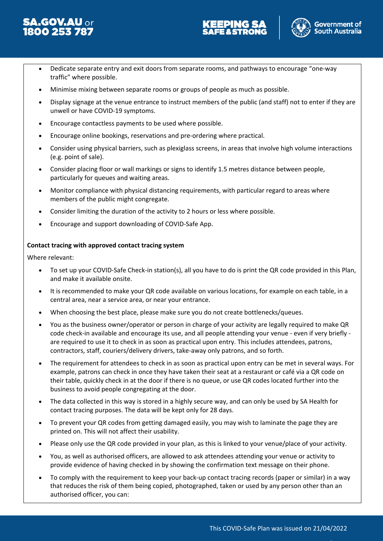





- Dedicate separate entry and exit doors from separate rooms, and pathways to encourage "one-way traffic" where possible.
- Minimise mixing between separate rooms or groups of people as much as possible.
- Display signage at the venue entrance to instruct members of the public (and staff) not to enter if they are unwell or have COVID-19 symptoms.
- Encourage contactless payments to be used where possible.
- Encourage online bookings, reservations and pre-ordering where practical.
- Consider using physical barriers, such as plexiglass screens, in areas that involve high volume interactions (e.g. point of sale).
- Consider placing floor or wall markings or signs to identify 1.5 metres distance between people, particularly for queues and waiting areas.
- Monitor compliance with physical distancing requirements, with particular regard to areas where members of the public might congregate.
- Consider limiting the duration of the activity to 2 hours or less where possible.
- Encourage and support downloading of COVID-Safe App.

#### **Contact tracing with approved contact tracing system**

Where relevant:

- To set up your COVID-Safe Check-in station(s), all you have to do is print the QR code provided in this Plan, and make it available onsite.
- It is recommended to make your QR code available on various locations, for example on each table, in a central area, near a service area, or near your entrance.
- When choosing the best place, please make sure you do not create bottlenecks/queues.
- You as the business owner/operator or person in charge of your activity are legally required to make QR code check-in available and encourage its use, and all people attending your venue - even if very briefly are required to use it to check in as soon as practical upon entry. This includes attendees, patrons, contractors, staff, couriers/delivery drivers, take-away only patrons, and so forth.
- The requirement for attendees to check in as soon as practical upon entry can be met in several ways. For example, patrons can check in once they have taken their seat at a restaurant or café via a QR code on their table, quickly check in at the door if there is no queue, or use QR codes located further into the business to avoid people congregating at the door.
- The data collected in this way is stored in a highly secure way, and can only be used by SA Health for contact tracing purposes. The data will be kept only for 28 days.
- To prevent your QR codes from getting damaged easily, you may wish to laminate the page they are printed on. This will not affect their usability.
- Please only use the QR code provided in your plan, as this is linked to your venue/place of your activity.
- You, as well as authorised officers, are allowed to ask attendees attending your venue or activity to provide evidence of having checked in by showing the confirmation text message on their phone.
- To comply with the requirement to keep your back-up contact tracing records (paper or similar) in a way that reduces the risk of them being copied, photographed, taken or used by any person other than an authorised officer, you can: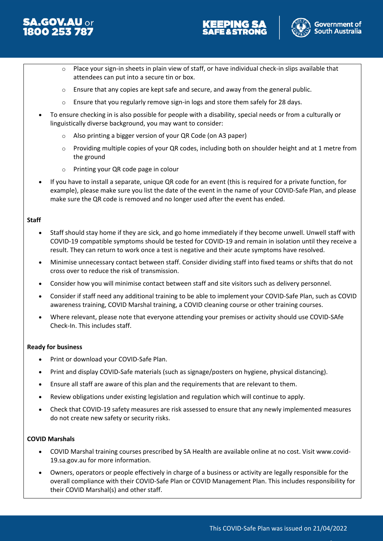





- $\circ$  Place your sign-in sheets in plain view of staff, or have individual check-in slips available that attendees can put into a secure tin or box.
- $\circ$  Ensure that any copies are kept safe and secure, and away from the general public.
- $\circ$  Ensure that you regularly remove sign-in logs and store them safely for 28 days.
- To ensure checking in is also possible for people with a disability, special needs or from a culturally or linguistically diverse background, you may want to consider:
	- o Also printing a bigger version of your QR Code (on A3 paper)
	- o Providing multiple copies of your QR codes, including both on shoulder height and at 1 metre from the ground
	- o Printing your QR code page in colour
- If you have to install a separate, unique QR code for an event (this is required for a private function, for example), please make sure you list the date of the event in the name of your COVID-Safe Plan, and please make sure the QR code is removed and no longer used after the event has ended.

#### **Staff**

- Staff should stay home if they are sick, and go home immediately if they become unwell. Unwell staff with COVID-19 compatible symptoms should be tested for COVID-19 and remain in isolation until they receive a result. They can return to work once a test is negative and their acute symptoms have resolved.
- Minimise unnecessary contact between staff. Consider dividing staff into fixed teams or shifts that do not cross over to reduce the risk of transmission.
- Consider how you will minimise contact between staff and site visitors such as delivery personnel.
- Consider if staff need any additional training to be able to implement your COVID-Safe Plan, such as COVID awareness training, COVID Marshal training, a COVID cleaning course or other training courses.
- Where relevant, please note that everyone attending your premises or activity should use COVID-SAfe Check-In. This includes staff.

#### **Ready for business**

- Print or download your COVID-Safe Plan.
- Print and display COVID-Safe materials (such as signage/posters on hygiene, physical distancing).
- Ensure all staff are aware of this plan and the requirements that are relevant to them.
- Review obligations under existing legislation and regulation which will continue to apply.
- Check that COVID-19 safety measures are risk assessed to ensure that any newly implemented measures do not create new safety or security risks.

#### **COVID Marshals**

- COVID Marshal training courses prescribed by SA Health are available online at no cost. Visit www.covid-19.sa.gov.au for more information.
- Owners, operators or people effectively in charge of a business or activity are legally responsible for the overall compliance with their COVID-Safe Plan or COVID Management Plan. This includes responsibility for their COVID Marshal(s) and other staff.